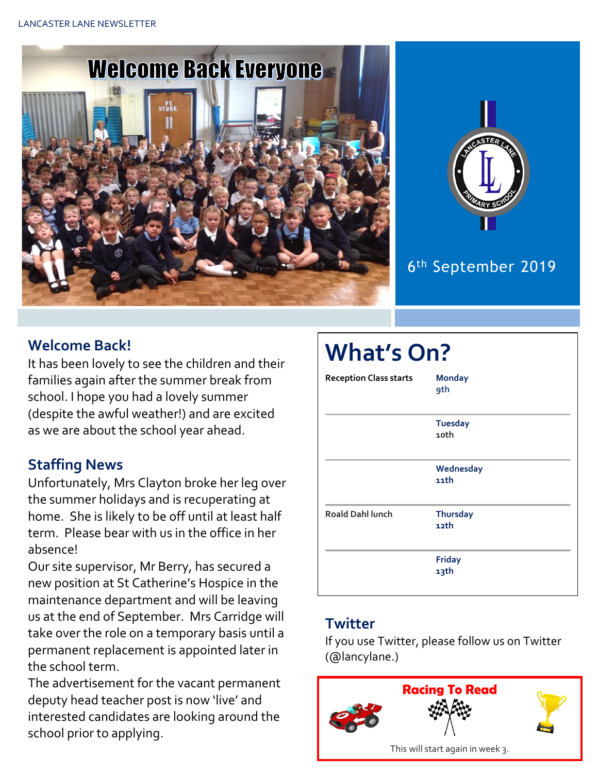



## 6 th September 2019

## **Welcome Back!**

It has been lovely to see the children and their families again after the summer break from school. I hope you had a lovely summer (despite the awful weather!) and are excited as we are about the school year ahead.

## **Staffing News**

Unfortunately, Mrs Clayton broke her leg over the summer holidays and is recuperating at home. She is likely to be off until at least half term. Please bear with us in the office in her absence!

Our site supervisor, Mr Berry, has secured a new position at St Catherine's Hospice in the maintenance department and will be leaving us at the end of September. Mrs Carridge will take over the role on a temporary basis until a permanent replacement is appointed later in the school term.

The advertisement for the vacant permanent deputy head teacher post is now 'live' and interested candidates are looking around the school prior to applying.

| <b>What's On?</b>             |                             |  |
|-------------------------------|-----------------------------|--|
| <b>Reception Class starts</b> | <b>Monday</b><br><b>9th</b> |  |
|                               | <b>Tuesday</b><br>10th      |  |
|                               | Wednesday<br>$11$ th        |  |
| <b>Roald Dahl lunch</b>       | <b>Thursday</b><br>12th     |  |
|                               | <b>Friday</b><br>13th       |  |

### **Twitter**

If you use Twitter, please follow us on Twitter (@lancylane.)

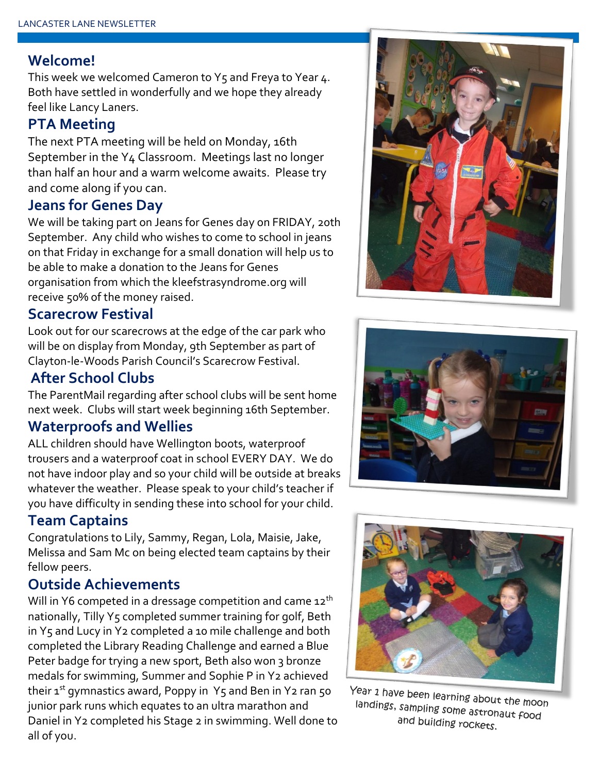#### **Welcome!**

This week we welcomed Cameron to  $Y_5$  and Freya to Year 4. Both have settled in wonderfully and we hope they already feel like Lancy Laners.

#### **PTA Meeting**

The next PTA meeting will be held on Monday, 16th September in the Y4 Classroom. Meetings last no longer than half an hour and a warm welcome awaits. Please try and come along if you can.

### **Jeans for Genes Day**

We will be taking part on Jeans for Genes day on FRIDAY, 20th September. Any child who wishes to come to school in jeans on that Friday in exchange for a small donation will help us to be able to make a donation to the Jeans for Genes organisation from which the kleefstrasyndrome.org will receive 50% of the money raised.

#### **Scarecrow Festival**

Look out for our scarecrows at the edge of the car park who will be on display from Monday, 9th September as part of Clayton-le-Woods Parish Council's Scarecrow Festival.

### **After School Clubs**

The ParentMail regarding after school clubs will be sent home next week. Clubs will start week beginning 16th September.

#### **Waterproofs and Wellies**

ALL children should have Wellington boots, waterproof trousers and a waterproof coat in school EVERY DAY. We do not have indoor play and so your child will be outside at breaks whatever the weather. Please speak to your child's teacher if you have difficulty in sending these into school for your child.

### **Team Captains**

Congratulations to Lily, Sammy, Regan, Lola, Maisie, Jake, Melissa and Sam Mc on being elected team captains by their fellow peers.

#### **Outside Achievements**

Will in Y6 competed in a dressage competition and came  $12<sup>th</sup>$ nationally, Tilly Y5 completed summer training for golf, Beth in Y5 and Lucy in Y2 completed a 10 mile challenge and both completed the Library Reading Challenge and earned a Blue Peter badge for trying a new sport, Beth also won 3 bronze medals for swimming, Summer and Sophie P in Y2 achieved their  $1^{st}$  gymnastics award, Poppy in Y5 and Ben in Y2 ran 50 junior park runs which equates to an ultra marathon and Daniel in Y2 completed his Stage 2 in swimming. Well done to all of you.







Year 1 have been learning about the moon landings, sampling some astronaut food and building rockets.